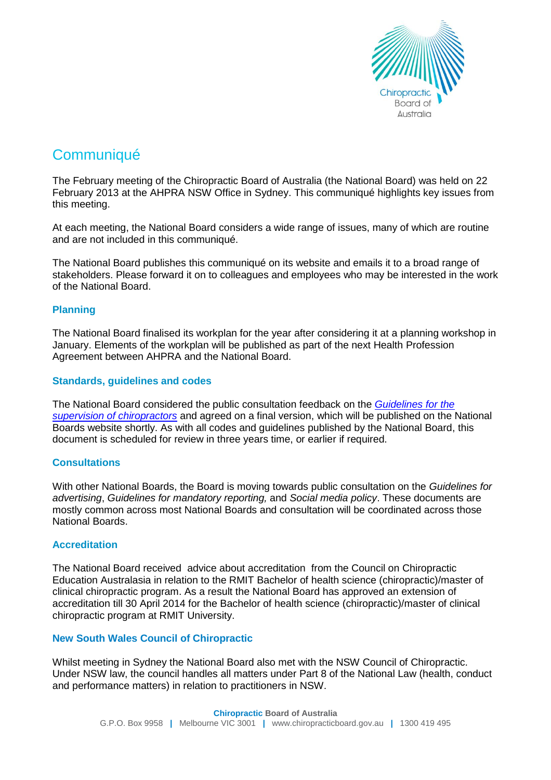

# **Communiqué**

The February meeting of the Chiropractic Board of Australia (the National Board) was held on 22 February 2013 at the AHPRA NSW Office in Sydney. This communiqué highlights key issues from this meeting.

At each meeting, the National Board considers a wide range of issues, many of which are routine and are not included in this communiqué.

The National Board publishes this communiqué on its website and emails it to a broad range of stakeholders. Please forward it on to colleagues and employees who may be interested in the work of the National Board.

## **Planning**

The National Board finalised its workplan for the year after considering it at a planning workshop in January. Elements of the workplan will be published as part of the next Health Profession Agreement between AHPRA and the National Board.

## **Standards, guidelines and codes**

The National Board considered the public consultation feedback on the *[Guidelines for the](http://www.chiropracticboard.gov.au/Codes-Guidelines.aspx)  [supervision of chiropractors](http://www.chiropracticboard.gov.au/Codes-Guidelines.aspx)* and agreed on a final version, which will be published on the National Boards website shortly. As with all codes and guidelines published by the National Board, this document is scheduled for review in three years time, or earlier if required.

## **Consultations**

With other National Boards, the Board is moving towards public consultation on the *Guidelines for advertising*, *Guidelines for mandatory reporting,* and *Social media policy*. These documents are mostly common across most National Boards and consultation will be coordinated across those National Boards.

#### **Accreditation**

The National Board received advice about accreditation from the Council on Chiropractic Education Australasia in relation to the RMIT Bachelor of health science (chiropractic)/master of clinical chiropractic program. As a result the National Board has approved an extension of accreditation till 30 April 2014 for the Bachelor of health science (chiropractic)/master of clinical chiropractic program at RMIT University.

## **New South Wales Council of Chiropractic**

Whilst meeting in Sydney the National Board also met with the NSW Council of Chiropractic. Under NSW law, the council handles all matters under Part 8 of the National Law (health, conduct and performance matters) in relation to practitioners in NSW.